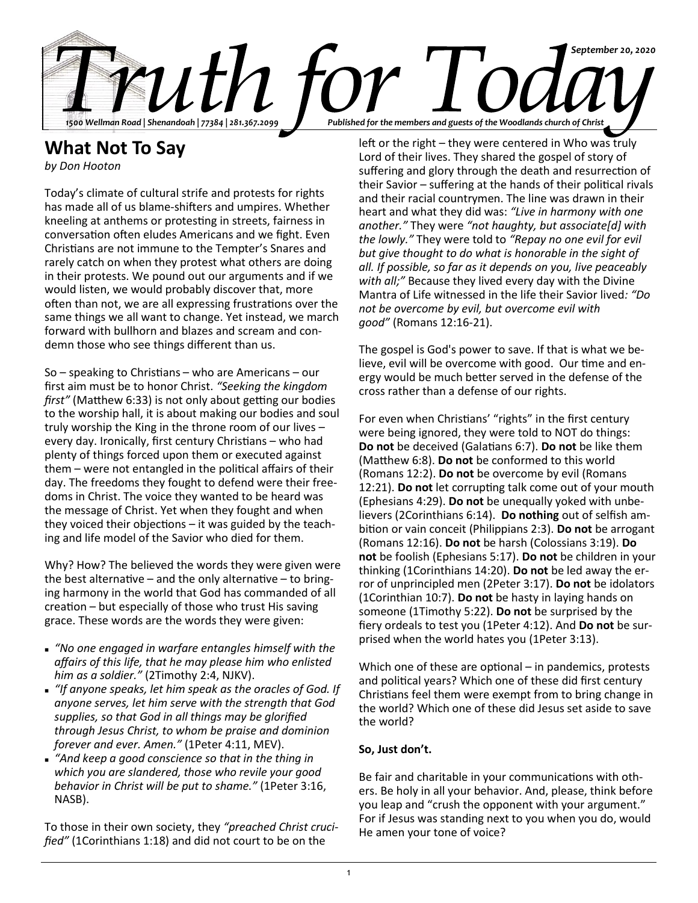

# **What Not To Say**

*by Don Hooton*

Today's climate of cultural strife and protests for rights has made all of us blame-shifters and umpires. Whether kneeling at anthems or protesting in streets, fairness in conversation often eludes Americans and we fight. Even Christians are not immune to the Tempter's Snares and rarely catch on when they protest what others are doing in their protests. We pound out our arguments and if we would listen, we would probably discover that, more often than not, we are all expressing frustrations over the same things we all want to change. Yet instead, we march forward with bullhorn and blazes and scream and condemn those who see things different than us.

So – speaking to Christians – who are Americans – our first aim must be to honor Christ. *"Seeking the kingdom first"* (Matthew 6:33) is not only about getting our bodies to the worship hall, it is about making our bodies and soul truly worship the King in the throne room of our lives – every day. Ironically, first century Christians – who had plenty of things forced upon them or executed against them – were not entangled in the political affairs of their day. The freedoms they fought to defend were their freedoms in Christ. The voice they wanted to be heard was the message of Christ. Yet when they fought and when they voiced their objections – it was guided by the teaching and life model of the Savior who died for them.

Why? How? The believed the words they were given were the best alternative – and the only alternative – to bringing harmony in the world that God has commanded of all creation – but especially of those who trust His saving grace. These words are the words they were given:

- "No one engaged in warfare entangles himself with the *affairs of this life, that he may please him who enlisted him as a soldier."* (2Timothy 2:4, NJKV).
- "If anyone speaks, let him speak as the oracles of God. If *anyone serves, let him serve with the strength that God supplies, so that God in all things may be glorified through Jesus Christ, to whom be praise and dominion forever and ever. Amen."* (1Peter 4:11, MEV).
- <sup>◼</sup> *"And keep a good conscience so that in the thing in which you are slandered, those who revile your good behavior in Christ will be put to shame."* (1Peter 3:16, NASB).

To those in their own society, they *"preached Christ crucified"* (1Corinthians 1:18) and did not court to be on the

left or the right – they were centered in Who was truly Lord of their lives. They shared the gospel of story of suffering and glory through the death and resurrection of their Savior – suffering at the hands of their political rivals and their racial countrymen. The line was drawn in their heart and what they did was: *"Live in harmony with one another."* They were *"not haughty, but associate[d] with the lowly."* They were told to *"Repay no one evil for evil but give thought to do what is honorable in the sight of all. If possible, so far as it depends on you, live peaceably with all;"* Because they lived every day with the Divine Mantra of Life witnessed in the life their Savior lived*: "Do not be overcome by evil, but overcome evil with good"* (Romans 12:16-21).

The gospel is God's power to save. If that is what we believe, evil will be overcome with good. Our time and energy would be much better served in the defense of the cross rather than a defense of our rights.

For even when Christians' "rights" in the first century were being ignored, they were told to NOT do things: **Do not** be deceived (Galatians 6:7). **Do not** be like them (Matthew 6:8). **Do not** be conformed to this world (Romans 12:2). **Do not** be overcome by evil (Romans 12:21). **Do not** let corrupting talk come out of your mouth (Ephesians 4:29). **Do not** be unequally yoked with unbelievers (2Corinthians 6:14). **Do nothing** out of selfish ambition or vain conceit (Philippians 2:3). **Do not** be arrogant (Romans 12:16). **Do not** be harsh (Colossians 3:19). **Do not** be foolish (Ephesians 5:17). **Do not** be children in your thinking (1Corinthians 14:20). **Do not** be led away the error of unprincipled men (2Peter 3:17). **Do not** be idolators (1Corinthian 10:7). **Do not** be hasty in laying hands on someone (1Timothy 5:22). **Do not** be surprised by the fiery ordeals to test you (1Peter 4:12). And **Do not** be surprised when the world hates you (1Peter 3:13).

Which one of these are optional – in pandemics, protests and political years? Which one of these did first century Christians feel them were exempt from to bring change in the world? Which one of these did Jesus set aside to save the world?

## **So, Just don't.**

Be fair and charitable in your communications with others. Be holy in all your behavior. And, please, think before you leap and "crush the opponent with your argument." For if Jesus was standing next to you when you do, would He amen your tone of voice?